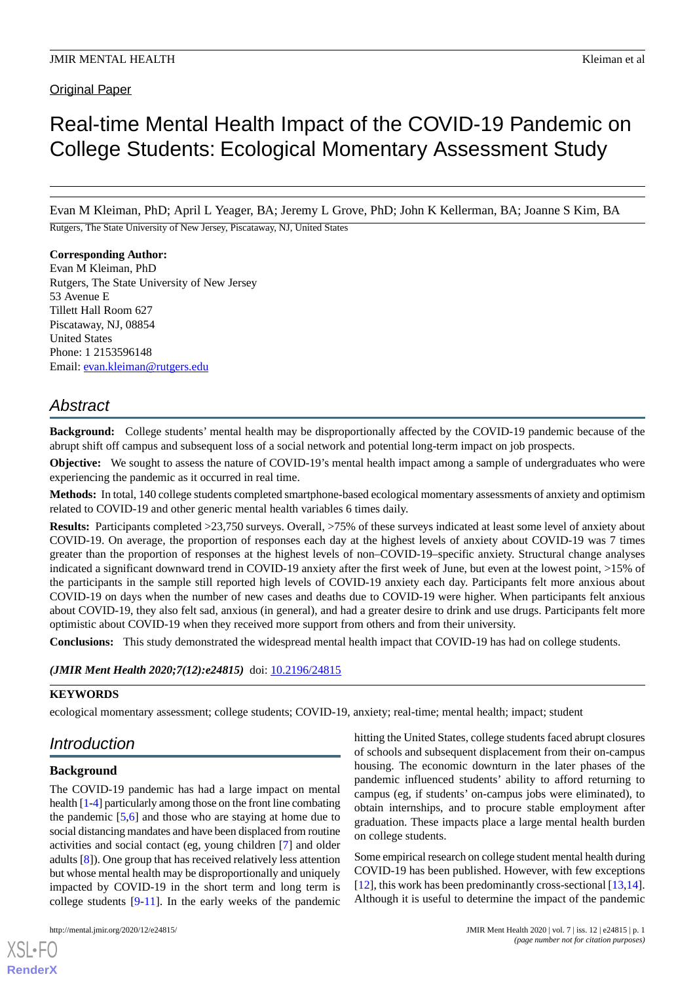**Original Paper** 

# Real-time Mental Health Impact of the COVID-19 Pandemic on College Students: Ecological Momentary Assessment Study

Evan M Kleiman, PhD; April L Yeager, BA; Jeremy L Grove, PhD; John K Kellerman, BA; Joanne S Kim, BA

Rutgers, The State University of New Jersey, Piscataway, NJ, United States

#### **Corresponding Author:**

Evan M Kleiman, PhD Rutgers, The State University of New Jersey 53 Avenue E Tillett Hall Room 627 Piscataway, NJ, 08854 United States Phone: 1 2153596148 Email: [evan.kleiman@rutgers.edu](mailto:evan.kleiman@rutgers.edu)

# *Abstract*

**Background:** College students' mental health may be disproportionally affected by the COVID-19 pandemic because of the abrupt shift off campus and subsequent loss of a social network and potential long-term impact on job prospects.

**Objective:** We sought to assess the nature of COVID-19's mental health impact among a sample of undergraduates who were experiencing the pandemic as it occurred in real time.

**Methods:** In total, 140 college students completed smartphone-based ecological momentary assessments of anxiety and optimism related to COVID-19 and other generic mental health variables 6 times daily.

**Results:** Participants completed >23,750 surveys. Overall, >75% of these surveys indicated at least some level of anxiety about COVID-19. On average, the proportion of responses each day at the highest levels of anxiety about COVID-19 was 7 times greater than the proportion of responses at the highest levels of non–COVID-19–specific anxiety. Structural change analyses indicated a significant downward trend in COVID-19 anxiety after the first week of June, but even at the lowest point, >15% of the participants in the sample still reported high levels of COVID-19 anxiety each day. Participants felt more anxious about COVID-19 on days when the number of new cases and deaths due to COVID-19 were higher. When participants felt anxious about COVID-19, they also felt sad, anxious (in general), and had a greater desire to drink and use drugs. Participants felt more optimistic about COVID-19 when they received more support from others and from their university.

**Conclusions:** This study demonstrated the widespread mental health impact that COVID-19 has had on college students.

#### *(JMIR Ment Health 2020;7(12):e24815)* doi: **[10.2196/24815](http://dx.doi.org/10.2196/24815)**

#### **KEYWORDS**

ecological momentary assessment; college students; COVID-19, anxiety; real-time; mental health; impact; student

# *Introduction*

# **Background**

The COVID-19 pandemic has had a large impact on mental health [[1](#page-6-0)-[4](#page-6-1)] particularly among those on the front line combating the pandemic [\[5](#page-6-2)[,6\]](#page-6-3) and those who are staying at home due to social distancing mandates and have been displaced from routine activities and social contact (eg, young children [\[7](#page-6-4)] and older adults [[8\]](#page-6-5)). One group that has received relatively less attention but whose mental health may be disproportionally and uniquely impacted by COVID-19 in the short term and long term is college students [\[9](#page-6-6)-[11\]](#page-6-7). In the early weeks of the pandemic

[XSL](http://www.w3.org/Style/XSL)•FO **[RenderX](http://www.renderx.com/)**

hitting the United States, college students faced abrupt closures of schools and subsequent displacement from their on-campus housing. The economic downturn in the later phases of the pandemic influenced students' ability to afford returning to campus (eg, if students' on-campus jobs were eliminated), to obtain internships, and to procure stable employment after graduation. These impacts place a large mental health burden on college students.

Some empirical research on college student mental health during COVID-19 has been published. However, with few exceptions [[12\]](#page-6-8), this work has been predominantly cross-sectional [\[13](#page-6-9),[14\]](#page-6-10). Although it is useful to determine the impact of the pandemic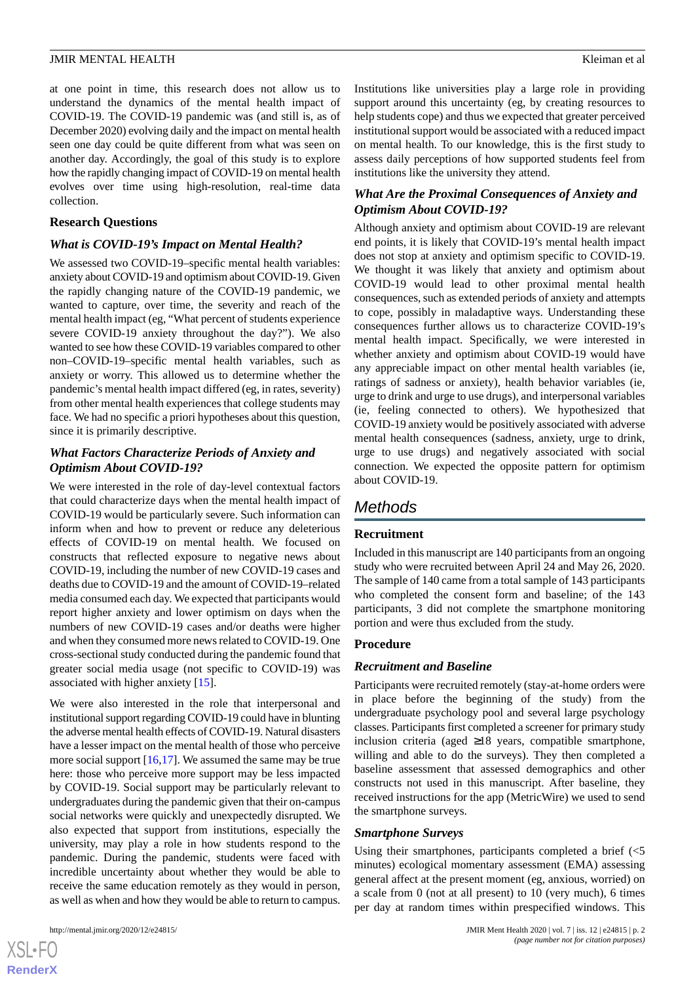at one point in time, this research does not allow us to understand the dynamics of the mental health impact of COVID-19. The COVID-19 pandemic was (and still is, as of December 2020) evolving daily and the impact on mental health seen one day could be quite different from what was seen on another day. Accordingly, the goal of this study is to explore how the rapidly changing impact of COVID-19 on mental health evolves over time using high-resolution, real-time data collection.

#### **Research Questions**

#### *What is COVID-19's Impact on Mental Health?*

We assessed two COVID-19–specific mental health variables: anxiety about COVID-19 and optimism about COVID-19. Given the rapidly changing nature of the COVID-19 pandemic, we wanted to capture, over time, the severity and reach of the mental health impact (eg, "What percent of students experience severe COVID-19 anxiety throughout the day?"). We also wanted to see how these COVID-19 variables compared to other non–COVID-19–specific mental health variables, such as anxiety or worry. This allowed us to determine whether the pandemic's mental health impact differed (eg, in rates, severity) from other mental health experiences that college students may face. We had no specific a priori hypotheses about this question, since it is primarily descriptive.

# *What Factors Characterize Periods of Anxiety and Optimism About COVID-19?*

We were interested in the role of day-level contextual factors that could characterize days when the mental health impact of COVID-19 would be particularly severe. Such information can inform when and how to prevent or reduce any deleterious effects of COVID-19 on mental health. We focused on constructs that reflected exposure to negative news about COVID-19, including the number of new COVID-19 cases and deaths due to COVID-19 and the amount of COVID-19–related media consumed each day. We expected that participants would report higher anxiety and lower optimism on days when the numbers of new COVID-19 cases and/or deaths were higher and when they consumed more news related to COVID-19. One cross-sectional study conducted during the pandemic found that greater social media usage (not specific to COVID-19) was associated with higher anxiety [[15\]](#page-6-11).

We were also interested in the role that interpersonal and institutional support regarding COVID-19 could have in blunting the adverse mental health effects of COVID-19. Natural disasters have a lesser impact on the mental health of those who perceive more social support  $[16,17]$  $[16,17]$  $[16,17]$ . We assumed the same may be true here: those who perceive more support may be less impacted by COVID-19. Social support may be particularly relevant to undergraduates during the pandemic given that their on-campus social networks were quickly and unexpectedly disrupted. We also expected that support from institutions, especially the university, may play a role in how students respond to the pandemic. During the pandemic, students were faced with incredible uncertainty about whether they would be able to receive the same education remotely as they would in person, as well as when and how they would be able to return to campus.

 $XS$  $\cdot$ FC **[RenderX](http://www.renderx.com/)** Institutions like universities play a large role in providing support around this uncertainty (eg, by creating resources to help students cope) and thus we expected that greater perceived institutional support would be associated with a reduced impact on mental health. To our knowledge, this is the first study to assess daily perceptions of how supported students feel from institutions like the university they attend.

# *What Are the Proximal Consequences of Anxiety and Optimism About COVID-19?*

Although anxiety and optimism about COVID-19 are relevant end points, it is likely that COVID-19's mental health impact does not stop at anxiety and optimism specific to COVID-19. We thought it was likely that anxiety and optimism about COVID-19 would lead to other proximal mental health consequences, such as extended periods of anxiety and attempts to cope, possibly in maladaptive ways. Understanding these consequences further allows us to characterize COVID-19's mental health impact. Specifically, we were interested in whether anxiety and optimism about COVID-19 would have any appreciable impact on other mental health variables (ie, ratings of sadness or anxiety), health behavior variables (ie, urge to drink and urge to use drugs), and interpersonal variables (ie, feeling connected to others). We hypothesized that COVID-19 anxiety would be positively associated with adverse mental health consequences (sadness, anxiety, urge to drink, urge to use drugs) and negatively associated with social connection. We expected the opposite pattern for optimism about COVID-19.

# *Methods*

# **Recruitment**

Included in this manuscript are 140 participants from an ongoing study who were recruited between April 24 and May 26, 2020. The sample of 140 came from a total sample of 143 participants who completed the consent form and baseline; of the 143 participants, 3 did not complete the smartphone monitoring portion and were thus excluded from the study.

#### **Procedure**

#### *Recruitment and Baseline*

Participants were recruited remotely (stay-at-home orders were in place before the beginning of the study) from the undergraduate psychology pool and several large psychology classes. Participants first completed a screener for primary study inclusion criteria (aged ≥18 years, compatible smartphone, willing and able to do the surveys). They then completed a baseline assessment that assessed demographics and other constructs not used in this manuscript. After baseline, they received instructions for the app (MetricWire) we used to send the smartphone surveys.

#### *Smartphone Surveys*

Using their smartphones, participants completed a brief (<5 minutes) ecological momentary assessment (EMA) assessing general affect at the present moment (eg, anxious, worried) on a scale from 0 (not at all present) to 10 (very much), 6 times per day at random times within prespecified windows. This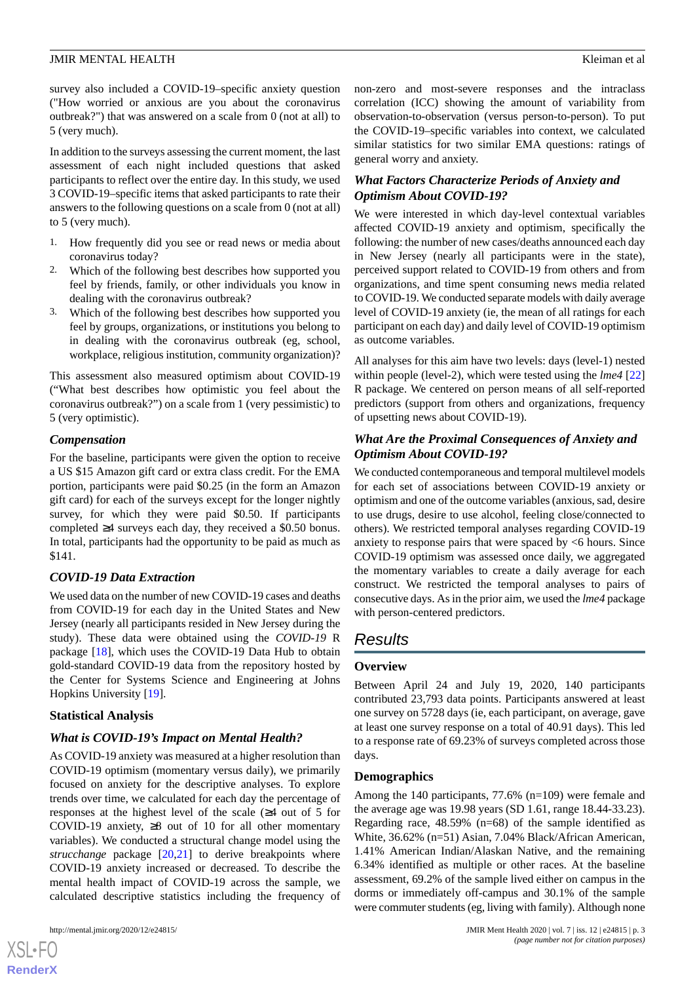#### **JMIR MENTAL HEALTH** KLEIMAN CHARGE AND **EXAMPLE A** SHOW KLEIMAN EXPERIENCE A SHOW KLEIMAN ET ALL SHOWS A SHOW KLEIMAN ET ALL SHOWS A SHOWS A SHOWS A SHOWS AND THE SHOWS A SHOWS A SHOWS A SHOWS A SHOWS A SHOWS A SHOWS A SH

survey also included a COVID-19–specific anxiety question ("How worried or anxious are you about the coronavirus outbreak?") that was answered on a scale from 0 (not at all) to 5 (very much).

In addition to the surveys assessing the current moment, the last assessment of each night included questions that asked participants to reflect over the entire day. In this study, we used 3 COVID-19–specific items that asked participants to rate their answers to the following questions on a scale from 0 (not at all) to 5 (very much).

- 1. How frequently did you see or read news or media about coronavirus today?
- 2. Which of the following best describes how supported you feel by friends, family, or other individuals you know in dealing with the coronavirus outbreak?
- 3. Which of the following best describes how supported you feel by groups, organizations, or institutions you belong to in dealing with the coronavirus outbreak (eg, school, workplace, religious institution, community organization)?

This assessment also measured optimism about COVID-19 ("What best describes how optimistic you feel about the coronavirus outbreak?") on a scale from 1 (very pessimistic) to 5 (very optimistic).

# *Compensation*

For the baseline, participants were given the option to receive a US \$15 Amazon gift card or extra class credit. For the EMA portion, participants were paid \$0.25 (in the form an Amazon gift card) for each of the surveys except for the longer nightly survey, for which they were paid \$0.50. If participants completed ≥4 surveys each day, they received a \$0.50 bonus. In total, participants had the opportunity to be paid as much as \$141.

# *COVID-19 Data Extraction*

We used data on the number of new COVID-19 cases and deaths from COVID-19 for each day in the United States and New Jersey (nearly all participants resided in New Jersey during the study). These data were obtained using the *COVID-19* R package [[18\]](#page-7-1), which uses the COVID-19 Data Hub to obtain gold-standard COVID-19 data from the repository hosted by the Center for Systems Science and Engineering at Johns Hopkins University [[19\]](#page-7-2).

#### **Statistical Analysis**

# *What is COVID-19's Impact on Mental Health?*

As COVID-19 anxiety was measured at a higher resolution than COVID-19 optimism (momentary versus daily), we primarily focused on anxiety for the descriptive analyses. To explore trends over time, we calculated for each day the percentage of responses at the highest level of the scale (≥4 out of 5 for COVID-19 anxiety,  $\geq 8$  out of 10 for all other momentary variables). We conducted a structural change model using the *strucchange* package [[20](#page-7-3)[,21](#page-7-4)] to derive breakpoints where COVID-19 anxiety increased or decreased. To describe the mental health impact of COVID-19 across the sample, we calculated descriptive statistics including the frequency of

[XSL](http://www.w3.org/Style/XSL)•FO **[RenderX](http://www.renderx.com/)**

non-zero and most-severe responses and the intraclass correlation (ICC) showing the amount of variability from observation-to-observation (versus person-to-person). To put the COVID-19–specific variables into context, we calculated similar statistics for two similar EMA questions: ratings of general worry and anxiety.

# *What Factors Characterize Periods of Anxiety and Optimism About COVID-19?*

We were interested in which day-level contextual variables affected COVID-19 anxiety and optimism, specifically the following: the number of new cases/deaths announced each day in New Jersey (nearly all participants were in the state), perceived support related to COVID-19 from others and from organizations, and time spent consuming news media related to COVID-19. We conducted separate models with daily average level of COVID-19 anxiety (ie, the mean of all ratings for each participant on each day) and daily level of COVID-19 optimism as outcome variables.

All analyses for this aim have two levels: days (level-1) nested within people (level-2), which were tested using the *lme4* [\[22](#page-7-5)] R package. We centered on person means of all self-reported predictors (support from others and organizations, frequency of upsetting news about COVID-19).

# *What Are the Proximal Consequences of Anxiety and Optimism About COVID-19?*

We conducted contemporaneous and temporal multilevel models for each set of associations between COVID-19 anxiety or optimism and one of the outcome variables (anxious, sad, desire to use drugs, desire to use alcohol, feeling close/connected to others). We restricted temporal analyses regarding COVID-19 anxiety to response pairs that were spaced by <6 hours. Since COVID-19 optimism was assessed once daily, we aggregated the momentary variables to create a daily average for each construct. We restricted the temporal analyses to pairs of consecutive days. As in the prior aim, we used the *lme4* package with person-centered predictors.

# *Results*

#### **Overview**

Between April 24 and July 19, 2020, 140 participants contributed 23,793 data points. Participants answered at least one survey on 5728 days (ie, each participant, on average, gave at least one survey response on a total of 40.91 days). This led to a response rate of 69.23% of surveys completed across those days.

#### **Demographics**

Among the 140 participants, 77.6% (n=109) were female and the average age was 19.98 years (SD 1.61, range 18.44-33.23). Regarding race, 48.59% (n=68) of the sample identified as White, 36.62% (n=51) Asian, 7.04% Black/African American, 1.41% American Indian/Alaskan Native, and the remaining 6.34% identified as multiple or other races. At the baseline assessment, 69.2% of the sample lived either on campus in the dorms or immediately off-campus and 30.1% of the sample were commuter students (eg, living with family). Although none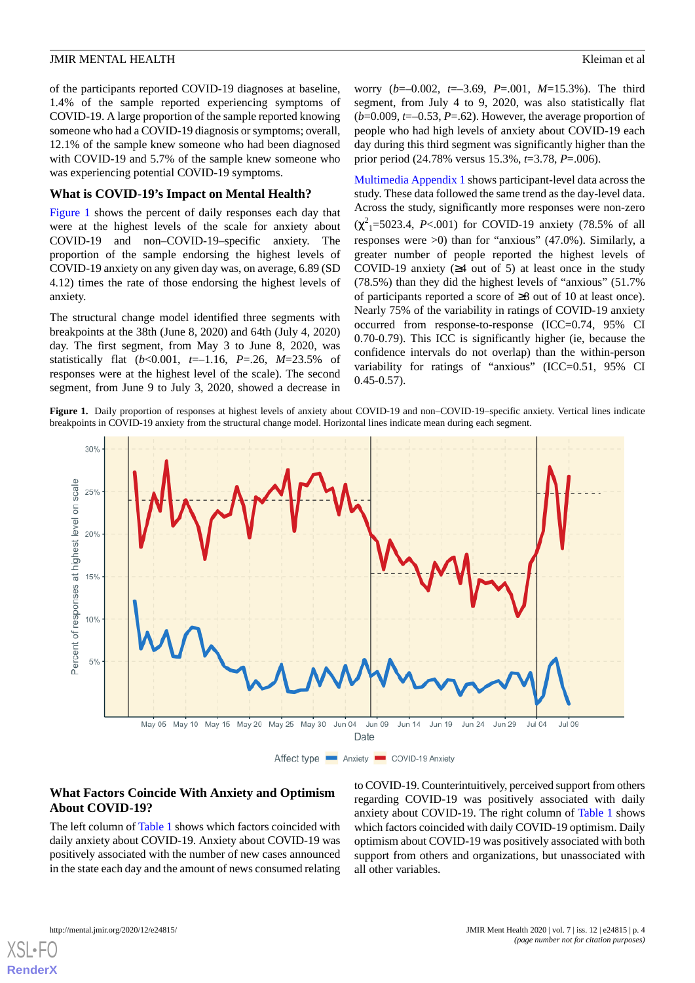#### **JMIR MENTAL HEALTH** KLEIMAN CHARGE AND **EXAMPLE A** SHOW KLEIMAN EXPERIENCE A SHOW KLEIMAN ET ALL SHOWS A SHOW KLEIMAN ET ALL SHOWS A SHOWS A SHOWS A SHOWS AND THE SHOWS A SHOWS A SHOWS A SHOWS A SHOWS A SHOWS A SHOWS A SH

of the participants reported COVID-19 diagnoses at baseline, 1.4% of the sample reported experiencing symptoms of COVID-19. A large proportion of the sample reported knowing someone who had a COVID-19 diagnosis or symptoms; overall, 12.1% of the sample knew someone who had been diagnosed with COVID-19 and 5.7% of the sample knew someone who was experiencing potential COVID-19 symptoms.

#### **What is COVID-19's Impact on Mental Health?**

[Figure 1](#page-3-0) shows the percent of daily responses each day that were at the highest levels of the scale for anxiety about COVID-19 and non–COVID-19–specific anxiety. The proportion of the sample endorsing the highest levels of COVID-19 anxiety on any given day was, on average, 6.89 (SD 4.12) times the rate of those endorsing the highest levels of anxiety.

The structural change model identified three segments with breakpoints at the 38th (June 8, 2020) and 64th (July 4, 2020) day. The first segment, from May 3 to June 8, 2020, was statistically flat (*b*<0.001, *t*=–1.16, *P*=.26, *M*=23.5% of responses were at the highest level of the scale). The second segment, from June 9 to July 3, 2020, showed a decrease in worry (*b*=–0.002, *t*=–3.69, *P*=.001, *M*=15.3%). The third segment, from July 4 to 9, 2020, was also statistically flat (*b*=0.009, *t*=–0.53, *P*=.62). However, the average proportion of people who had high levels of anxiety about COVID-19 each day during this third segment was significantly higher than the prior period (24.78% versus 15.3%, *t*=3.78, *P*=.006).

[Multimedia Appendix 1](#page-6-13) shows participant-level data across the study. These data followed the same trend as the day-level data. Across the study, significantly more responses were non-zero  $(\chi^2)$ =5023.4, *P*<.001) for COVID-19 anxiety (78.5% of all responses were >0) than for "anxious" (47.0%). Similarly, a greater number of people reported the highest levels of COVID-19 anxiety  $(≥4$  out of 5) at least once in the study (78.5%) than they did the highest levels of "anxious" (51.7% of participants reported a score of ≥8 out of 10 at least once). Nearly 75% of the variability in ratings of COVID-19 anxiety occurred from response-to-response (ICC=0.74, 95% CI 0.70-0.79). This ICC is significantly higher (ie, because the confidence intervals do not overlap) than the within-person variability for ratings of "anxious" (ICC=0.51, 95% CI  $0.45 - 0.57$ .

<span id="page-3-0"></span>**Figure 1.** Daily proportion of responses at highest levels of anxiety about COVID-19 and non–COVID-19–specific anxiety. Vertical lines indicate breakpoints in COVID-19 anxiety from the structural change model. Horizontal lines indicate mean during each segment.



# **What Factors Coincide With Anxiety and Optimism About COVID-19?**

The left column of [Table 1](#page-4-0) shows which factors coincided with daily anxiety about COVID-19. Anxiety about COVID-19 was positively associated with the number of new cases announced in the state each day and the amount of news consumed relating to COVID-19. Counterintuitively, perceived support from others regarding COVID-19 was positively associated with daily anxiety about COVID-19. The right column of [Table 1](#page-4-0) shows which factors coincided with daily COVID-19 optimism. Daily optimism about COVID-19 was positively associated with both support from others and organizations, but unassociated with all other variables.

[XSL](http://www.w3.org/Style/XSL)•FO **[RenderX](http://www.renderx.com/)**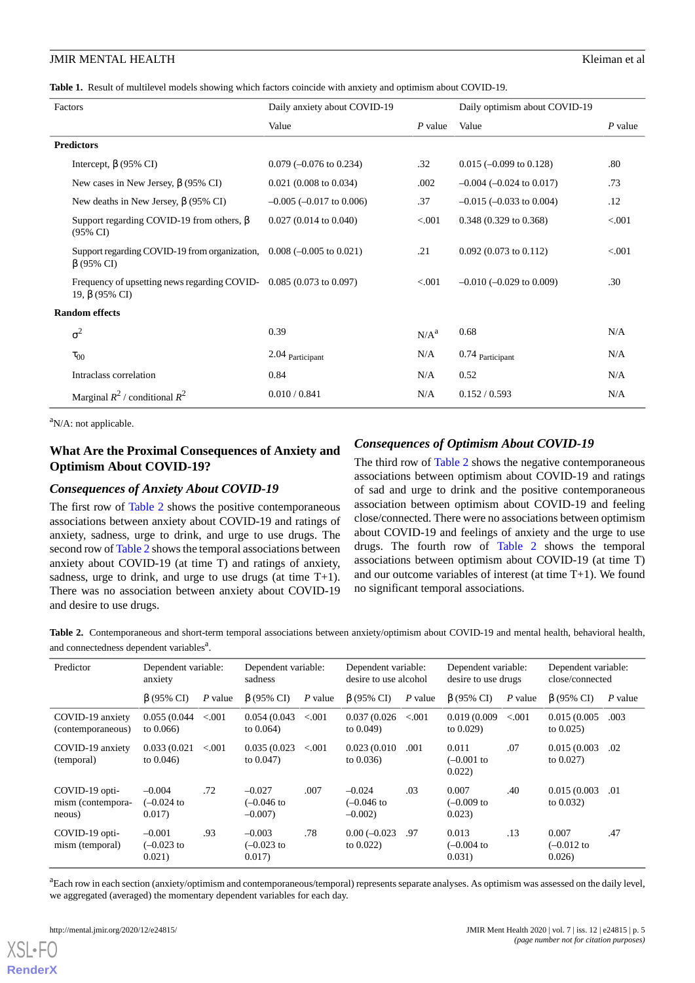<span id="page-4-0"></span>

| Factors                                                                                           | Daily anxiety about COVID-19                |                  | Daily optimism about COVID-19      |           |
|---------------------------------------------------------------------------------------------------|---------------------------------------------|------------------|------------------------------------|-----------|
|                                                                                                   | Value                                       | $P$ value        | Value                              | $P$ value |
| <b>Predictors</b>                                                                                 |                                             |                  |                                    |           |
| Intercept, $\beta$ (95% CI)                                                                       | .32<br>$0.079$ (-0.076 to 0.234)            |                  | $0.015 (-0.099 \text{ to } 0.128)$ | .80       |
| New cases in New Jersey, $\beta$ (95% CI)                                                         | $0.021$ (0.008 to 0.034)                    | .002             | $-0.004$ ( $-0.024$ to 0.017)      | .73       |
| New deaths in New Jersey, $\beta$ (95% CI)                                                        | $-0.005$ ( $-0.017$ to 0.006)               | .37              | $-0.015$ ( $-0.033$ to 0.004)      | .12       |
| Support regarding COVID-19 from others, $\beta$<br>$(95\% \text{ CI})$                            | $0.027(0.014 \text{ to } 0.040)$<br>< 0.001 |                  | 0.348 (0.329 to 0.368)             | < 0.001   |
| Support regarding COVID-19 from organization, $0.008$ ( $-0.005$ to $0.021$ )<br>$\beta$ (95% CI) |                                             | .21              | $0.092$ (0.073 to 0.112)           | < 0.001   |
| Frequency of upsetting news regarding COVID- 0.085 (0.073 to 0.097)<br>19, $\beta$ (95% CI)       |                                             | < 0.001          | $-0.010$ $(-0.029$ to 0.009)       | .30       |
| <b>Random effects</b>                                                                             |                                             |                  |                                    |           |
| $\sigma^2$                                                                                        | 0.39                                        | N/A <sup>a</sup> | 0.68                               | N/A       |
| $\tau_{00}$                                                                                       | 2.04 Participant                            | N/A              | 0.74 Participant                   | N/A       |
| Intraclass correlation                                                                            | 0.84                                        | N/A              | 0.52                               | N/A       |
| Marginal $R^2$ / conditional $R^2$                                                                | 0.010 / 0.841                               | N/A              | 0.152 / 0.593                      | N/A       |

<sup>a</sup>N/A: not applicable.

# **What Are the Proximal Consequences of Anxiety and Optimism About COVID-19?**

# *Consequences of Anxiety About COVID-19*

The first row of [Table 2](#page-4-1) shows the positive contemporaneous associations between anxiety about COVID-19 and ratings of anxiety, sadness, urge to drink, and urge to use drugs. The second row of [Table 2](#page-4-1) shows the temporal associations between anxiety about COVID-19 (at time T) and ratings of anxiety, sadness, urge to drink, and urge to use drugs (at time T+1). There was no association between anxiety about COVID-19 and desire to use drugs.

# *Consequences of Optimism About COVID-19*

The third row of [Table 2](#page-4-1) shows the negative contemporaneous associations between optimism about COVID-19 and ratings of sad and urge to drink and the positive contemporaneous association between optimism about COVID-19 and feeling close/connected. There were no associations between optimism about COVID-19 and feelings of anxiety and the urge to use drugs. The fourth row of [Table 2](#page-4-1) shows the temporal associations between optimism about COVID-19 (at time T) and our outcome variables of interest (at time T+1). We found no significant temporal associations.

<span id="page-4-1"></span>**Table 2.** Contemporaneous and short-term temporal associations between anxiety/optimism about COVID-19 and mental health, behavioral health, and connectedness dependent variables<sup>a</sup>.

| Predictor                                     | Dependent variable:<br>anxiety      |           | Dependent variable:<br>sadness     |         | Dependent variable:<br>desire to use alcohol |           | Dependent variable:<br>desire to use drugs |           | Dependent variable:<br>close/connected |           |
|-----------------------------------------------|-------------------------------------|-----------|------------------------------------|---------|----------------------------------------------|-----------|--------------------------------------------|-----------|----------------------------------------|-----------|
|                                               | $\beta$ (95% CI)                    | $P$ value | $\beta$ (95% CI)                   | P value | $\beta$ (95% CI)                             | $P$ value | $\beta$ (95% CI)                           | $P$ value | $\beta$ (95% CI)                       | $P$ value |
| COVID-19 anxiety<br>(contemporaneous)         | 0.055(0.044)<br>to $0.066$ )        | < 0.001   | 0.054(0.043)<br>to $0.064$ )       | < 0.001 | 0.037(0.026)<br>to $0.049$ )                 | < 0.001   | 0.019(0.009)<br>to $0.029$ )               | < 0.001   | 0.015(0.005)<br>to $0.025$ )           | .003      |
| COVID-19 anxiety<br>(temporal)                | 0.033(0.021)<br>to $0.046$ )        | < 0.001   | 0.035(0.023)<br>to $0.047$ )       | < 0.001 | 0.023(0.010)<br>to $0.036$ )                 | .001      | 0.011<br>$(-0.001)$ to<br>0.022)           | .07       | 0.015(0.003)<br>to $0.027$ )           | .02       |
| COVID-19 opti-<br>mism (contempora-<br>neous) | $-0.004$<br>$(-0.024)$ to<br>0.017) | .72       | $-0.027$<br>(–0.046 to<br>$-0.007$ | .007    | $-0.024$<br>$(-0.046)$ to<br>$-0.002$        | .03       | 0.007<br>$(-0.009)$ to<br>0.023)           | .40       | 0.015(0.003)<br>to $0.032$ )           | .01       |
| COVID-19 opti-<br>mism (temporal)             | $-0.001$<br>$(-0.023)$ to<br>0.021) | .93       | $-0.003$<br>$(-0.023$ to<br>0.017) | .78     | $0.00(-0.023)$<br>to $0.022$ )               | .97       | 0.013<br>$(-0.004)$ to<br>0.031)           | .13       | 0.007<br>$(-0.012$ to<br>0.026         | .47       |

<sup>a</sup>Each row in each section (anxiety/optimism and contemporaneous/temporal) represents separate analyses. As optimism was assessed on the daily level, we aggregated (averaged) the momentary dependent variables for each day.

[XSL](http://www.w3.org/Style/XSL)•FO **[RenderX](http://www.renderx.com/)**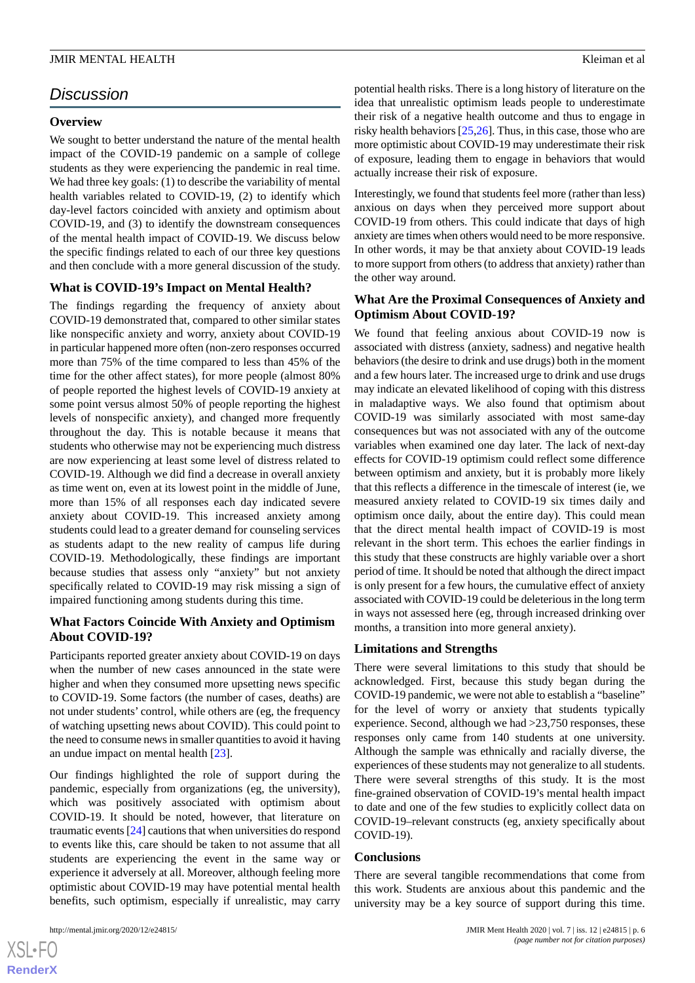# *Discussion*

#### **Overview**

We sought to better understand the nature of the mental health impact of the COVID-19 pandemic on a sample of college students as they were experiencing the pandemic in real time. We had three key goals: (1) to describe the variability of mental health variables related to COVID-19, (2) to identify which day-level factors coincided with anxiety and optimism about COVID-19, and (3) to identify the downstream consequences of the mental health impact of COVID-19. We discuss below the specific findings related to each of our three key questions and then conclude with a more general discussion of the study.

# **What is COVID-19's Impact on Mental Health?**

The findings regarding the frequency of anxiety about COVID-19 demonstrated that, compared to other similar states like nonspecific anxiety and worry, anxiety about COVID-19 in particular happened more often (non-zero responses occurred more than 75% of the time compared to less than 45% of the time for the other affect states), for more people (almost 80% of people reported the highest levels of COVID-19 anxiety at some point versus almost 50% of people reporting the highest levels of nonspecific anxiety), and changed more frequently throughout the day. This is notable because it means that students who otherwise may not be experiencing much distress are now experiencing at least some level of distress related to COVID-19. Although we did find a decrease in overall anxiety as time went on, even at its lowest point in the middle of June, more than 15% of all responses each day indicated severe anxiety about COVID-19. This increased anxiety among students could lead to a greater demand for counseling services as students adapt to the new reality of campus life during COVID-19. Methodologically, these findings are important because studies that assess only "anxiety" but not anxiety specifically related to COVID-19 may risk missing a sign of impaired functioning among students during this time.

# **What Factors Coincide With Anxiety and Optimism About COVID-19?**

Participants reported greater anxiety about COVID-19 on days when the number of new cases announced in the state were higher and when they consumed more upsetting news specific to COVID-19. Some factors (the number of cases, deaths) are not under students' control, while others are (eg, the frequency of watching upsetting news about COVID). This could point to the need to consume news in smaller quantities to avoid it having an undue impact on mental health [[23\]](#page-7-6).

Our findings highlighted the role of support during the pandemic, especially from organizations (eg, the university), which was positively associated with optimism about COVID-19. It should be noted, however, that literature on traumatic events [[24\]](#page-7-7) cautions that when universities do respond to events like this, care should be taken to not assume that all students are experiencing the event in the same way or experience it adversely at all. Moreover, although feeling more optimistic about COVID-19 may have potential mental health benefits, such optimism, especially if unrealistic, may carry

potential health risks. There is a long history of literature on the idea that unrealistic optimism leads people to underestimate their risk of a negative health outcome and thus to engage in risky health behaviors [[25](#page-7-8)[,26](#page-7-9)]. Thus, in this case, those who are more optimistic about COVID-19 may underestimate their risk of exposure, leading them to engage in behaviors that would actually increase their risk of exposure.

Interestingly, we found that students feel more (rather than less) anxious on days when they perceived more support about COVID-19 from others. This could indicate that days of high anxiety are times when others would need to be more responsive. In other words, it may be that anxiety about COVID-19 leads to more support from others (to address that anxiety) rather than the other way around.

## **What Are the Proximal Consequences of Anxiety and Optimism About COVID-19?**

We found that feeling anxious about COVID-19 now is associated with distress (anxiety, sadness) and negative health behaviors (the desire to drink and use drugs) both in the moment and a few hours later. The increased urge to drink and use drugs may indicate an elevated likelihood of coping with this distress in maladaptive ways. We also found that optimism about COVID-19 was similarly associated with most same-day consequences but was not associated with any of the outcome variables when examined one day later. The lack of next-day effects for COVID-19 optimism could reflect some difference between optimism and anxiety, but it is probably more likely that this reflects a difference in the timescale of interest (ie, we measured anxiety related to COVID-19 six times daily and optimism once daily, about the entire day). This could mean that the direct mental health impact of COVID-19 is most relevant in the short term. This echoes the earlier findings in this study that these constructs are highly variable over a short period of time. It should be noted that although the direct impact is only present for a few hours, the cumulative effect of anxiety associated with COVID-19 could be deleterious in the long term in ways not assessed here (eg, through increased drinking over months, a transition into more general anxiety).

#### **Limitations and Strengths**

There were several limitations to this study that should be acknowledged. First, because this study began during the COVID-19 pandemic, we were not able to establish a "baseline" for the level of worry or anxiety that students typically experience. Second, although we had >23,750 responses, these responses only came from 140 students at one university. Although the sample was ethnically and racially diverse, the experiences of these students may not generalize to all students. There were several strengths of this study. It is the most fine-grained observation of COVID-19's mental health impact to date and one of the few studies to explicitly collect data on COVID-19–relevant constructs (eg, anxiety specifically about COVID-19).

#### **Conclusions**

There are several tangible recommendations that come from this work. Students are anxious about this pandemic and the university may be a key source of support during this time.

 $XS$  • FO **[RenderX](http://www.renderx.com/)**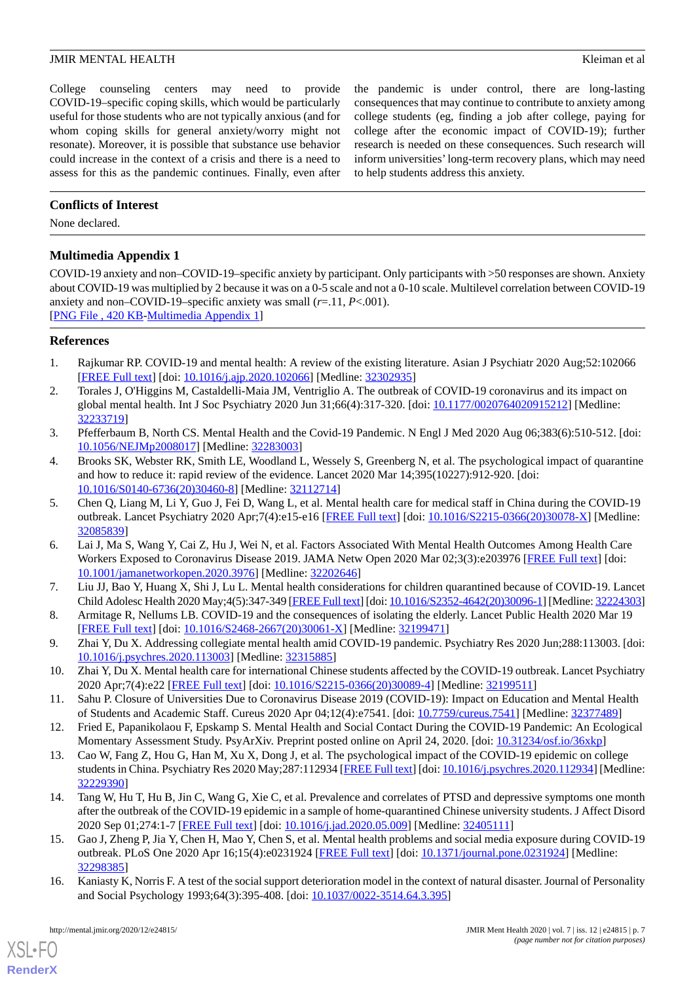#### **JMIR MENTAL HEALTH** KLEIMAN CHARGE AND **EXAMPLE A** SHOW KLEIMAN EXPERIENCE A SHOW KLEIMAN ET ALL SHOWS A SHOW KLEIMAN ET ALL SHOWS A SHOWS A SHOWS A SHOWS AND THE SHOWS A SHOWS A SHOWS A SHOWS A SHOWS A SHOWS A SHOWS A SH

College counseling centers may need to provide COVID-19–specific coping skills, which would be particularly useful for those students who are not typically anxious (and for whom coping skills for general anxiety/worry might not resonate). Moreover, it is possible that substance use behavior could increase in the context of a crisis and there is a need to assess for this as the pandemic continues. Finally, even after

the pandemic is under control, there are long-lasting consequences that may continue to contribute to anxiety among college students (eg, finding a job after college, paying for college after the economic impact of COVID-19); further research is needed on these consequences. Such research will inform universities'long-term recovery plans, which may need to help students address this anxiety.

# **Conflicts of Interest**

<span id="page-6-13"></span>None declared.

# **Multimedia Appendix 1**

COVID-19 anxiety and non–COVID-19–specific anxiety by participant. Only participants with >50 responses are shown. Anxiety about COVID-19 was multiplied by 2 because it was on a 0-5 scale and not a 0-10 scale. Multilevel correlation between COVID-19 anxiety and non–COVID-19–specific anxiety was small (*r*=.11, *P*<.001). [[PNG File , 420 KB-Multimedia Appendix 1](https://jmir.org/api/download?alt_name=mental_v7i12e24815_app1.png&filename=45f4d854f8e1bfac80123a2db867c89f.png)]

#### <span id="page-6-0"></span>**References**

- 1. Rajkumar RP. COVID-19 and mental health: A review of the existing literature. Asian J Psychiatr 2020 Aug;52:102066 [[FREE Full text](http://europepmc.org/abstract/MED/32302935)] [doi: [10.1016/j.ajp.2020.102066](http://dx.doi.org/10.1016/j.ajp.2020.102066)] [Medline: [32302935](http://www.ncbi.nlm.nih.gov/entrez/query.fcgi?cmd=Retrieve&db=PubMed&list_uids=32302935&dopt=Abstract)]
- 2. Torales J, O'Higgins M, Castaldelli-Maia JM, Ventriglio A. The outbreak of COVID-19 coronavirus and its impact on global mental health. Int J Soc Psychiatry 2020 Jun 31;66(4):317-320. [doi: [10.1177/0020764020915212](http://dx.doi.org/10.1177/0020764020915212)] [Medline: [32233719](http://www.ncbi.nlm.nih.gov/entrez/query.fcgi?cmd=Retrieve&db=PubMed&list_uids=32233719&dopt=Abstract)]
- <span id="page-6-1"></span>3. Pfefferbaum B, North CS. Mental Health and the Covid-19 Pandemic. N Engl J Med 2020 Aug 06;383(6):510-512. [doi: [10.1056/NEJMp2008017\]](http://dx.doi.org/10.1056/NEJMp2008017) [Medline: [32283003\]](http://www.ncbi.nlm.nih.gov/entrez/query.fcgi?cmd=Retrieve&db=PubMed&list_uids=32283003&dopt=Abstract)
- <span id="page-6-2"></span>4. Brooks SK, Webster RK, Smith LE, Woodland L, Wessely S, Greenberg N, et al. The psychological impact of quarantine and how to reduce it: rapid review of the evidence. Lancet 2020 Mar 14;395(10227):912-920. [doi: [10.1016/S0140-6736\(20\)30460-8\]](http://dx.doi.org/10.1016/S0140-6736(20)30460-8) [Medline: [32112714](http://www.ncbi.nlm.nih.gov/entrez/query.fcgi?cmd=Retrieve&db=PubMed&list_uids=32112714&dopt=Abstract)]
- <span id="page-6-3"></span>5. Chen Q, Liang M, Li Y, Guo J, Fei D, Wang L, et al. Mental health care for medical staff in China during the COVID-19 outbreak. Lancet Psychiatry 2020 Apr;7(4):e15-e16 [\[FREE Full text\]](http://europepmc.org/abstract/MED/32085839) [doi: [10.1016/S2215-0366\(20\)30078-X](http://dx.doi.org/10.1016/S2215-0366(20)30078-X)] [Medline: [32085839](http://www.ncbi.nlm.nih.gov/entrez/query.fcgi?cmd=Retrieve&db=PubMed&list_uids=32085839&dopt=Abstract)]
- <span id="page-6-5"></span><span id="page-6-4"></span>6. Lai J, Ma S, Wang Y, Cai Z, Hu J, Wei N, et al. Factors Associated With Mental Health Outcomes Among Health Care Workers Exposed to Coronavirus Disease 2019. JAMA Netw Open 2020 Mar 02;3(3):e203976 [[FREE Full text](https://jamanetwork.com/journals/jamanetworkopen/fullarticle/10.1001/jamanetworkopen.2020.3976)] [doi: [10.1001/jamanetworkopen.2020.3976](http://dx.doi.org/10.1001/jamanetworkopen.2020.3976)] [Medline: [32202646](http://www.ncbi.nlm.nih.gov/entrez/query.fcgi?cmd=Retrieve&db=PubMed&list_uids=32202646&dopt=Abstract)]
- <span id="page-6-6"></span>7. Liu JJ, Bao Y, Huang X, Shi J, Lu L. Mental health considerations for children quarantined because of COVID-19. Lancet Child Adolesc Health 2020 May;4(5):347-349 [[FREE Full text](http://europepmc.org/abstract/MED/32224303)] [doi: [10.1016/S2352-4642\(20\)30096-1\]](http://dx.doi.org/10.1016/S2352-4642(20)30096-1) [Medline: [32224303\]](http://www.ncbi.nlm.nih.gov/entrez/query.fcgi?cmd=Retrieve&db=PubMed&list_uids=32224303&dopt=Abstract)
- 8. Armitage R, Nellums LB. COVID-19 and the consequences of isolating the elderly. Lancet Public Health 2020 Mar 19 [[FREE Full text](https://linkinghub.elsevier.com/retrieve/pii/S2468-2667(20)30061-X)] [doi: [10.1016/S2468-2667\(20\)30061-X\]](http://dx.doi.org/10.1016/S2468-2667(20)30061-X) [Medline: [32199471\]](http://www.ncbi.nlm.nih.gov/entrez/query.fcgi?cmd=Retrieve&db=PubMed&list_uids=32199471&dopt=Abstract)
- <span id="page-6-8"></span><span id="page-6-7"></span>9. Zhai Y, Du X. Addressing collegiate mental health amid COVID-19 pandemic. Psychiatry Res 2020 Jun;288:113003. [doi: [10.1016/j.psychres.2020.113003](http://dx.doi.org/10.1016/j.psychres.2020.113003)] [Medline: [32315885\]](http://www.ncbi.nlm.nih.gov/entrez/query.fcgi?cmd=Retrieve&db=PubMed&list_uids=32315885&dopt=Abstract)
- <span id="page-6-9"></span>10. Zhai Y, Du X. Mental health care for international Chinese students affected by the COVID-19 outbreak. Lancet Psychiatry 2020 Apr;7(4):e22 [\[FREE Full text\]](http://europepmc.org/abstract/MED/32199511) [doi: [10.1016/S2215-0366\(20\)30089-4\]](http://dx.doi.org/10.1016/S2215-0366(20)30089-4) [Medline: [32199511\]](http://www.ncbi.nlm.nih.gov/entrez/query.fcgi?cmd=Retrieve&db=PubMed&list_uids=32199511&dopt=Abstract)
- 11. Sahu P. Closure of Universities Due to Coronavirus Disease 2019 (COVID-19): Impact on Education and Mental Health of Students and Academic Staff. Cureus 2020 Apr 04;12(4):e7541. [doi: [10.7759/cureus.7541\]](http://dx.doi.org/10.7759/cureus.7541) [Medline: [32377489\]](http://www.ncbi.nlm.nih.gov/entrez/query.fcgi?cmd=Retrieve&db=PubMed&list_uids=32377489&dopt=Abstract)
- <span id="page-6-10"></span>12. Fried E, Papanikolaou F, Epskamp S. Mental Health and Social Contact During the COVID-19 Pandemic: An Ecological Momentary Assessment Study. PsyArXiv. Preprint posted online on April 24, 2020. [doi: [10.31234/osf.io/36xkp](http://dx.doi.org/10.31234/osf.io/36xkp)]
- <span id="page-6-11"></span>13. Cao W, Fang Z, Hou G, Han M, Xu X, Dong J, et al. The psychological impact of the COVID-19 epidemic on college students in China. Psychiatry Res 2020 May;287:112934 [\[FREE Full text](http://europepmc.org/abstract/MED/32229390)] [doi: [10.1016/j.psychres.2020.112934](http://dx.doi.org/10.1016/j.psychres.2020.112934)] [Medline: [32229390](http://www.ncbi.nlm.nih.gov/entrez/query.fcgi?cmd=Retrieve&db=PubMed&list_uids=32229390&dopt=Abstract)]
- <span id="page-6-12"></span>14. Tang W, Hu T, Hu B, Jin C, Wang G, Xie C, et al. Prevalence and correlates of PTSD and depressive symptoms one month after the outbreak of the COVID-19 epidemic in a sample of home-quarantined Chinese university students. J Affect Disord 2020 Sep 01;274:1-7 [\[FREE Full text\]](http://europepmc.org/abstract/MED/32405111) [doi: [10.1016/j.jad.2020.05.009](http://dx.doi.org/10.1016/j.jad.2020.05.009)] [Medline: [32405111\]](http://www.ncbi.nlm.nih.gov/entrez/query.fcgi?cmd=Retrieve&db=PubMed&list_uids=32405111&dopt=Abstract)
- 15. Gao J, Zheng P, Jia Y, Chen H, Mao Y, Chen S, et al. Mental health problems and social media exposure during COVID-19 outbreak. PLoS One 2020 Apr 16;15(4):e0231924 [\[FREE Full text\]](https://dx.plos.org/10.1371/journal.pone.0231924) [doi: [10.1371/journal.pone.0231924](http://dx.doi.org/10.1371/journal.pone.0231924)] [Medline: [32298385](http://www.ncbi.nlm.nih.gov/entrez/query.fcgi?cmd=Retrieve&db=PubMed&list_uids=32298385&dopt=Abstract)]
- 16. Kaniasty K, Norris F. A test of the social support deterioration model in the context of natural disaster. Journal of Personality and Social Psychology 1993;64(3):395-408. [doi: [10.1037/0022-3514.64.3.395](http://dx.doi.org/10.1037/0022-3514.64.3.395)]

[XSL](http://www.w3.org/Style/XSL)•FO **[RenderX](http://www.renderx.com/)**